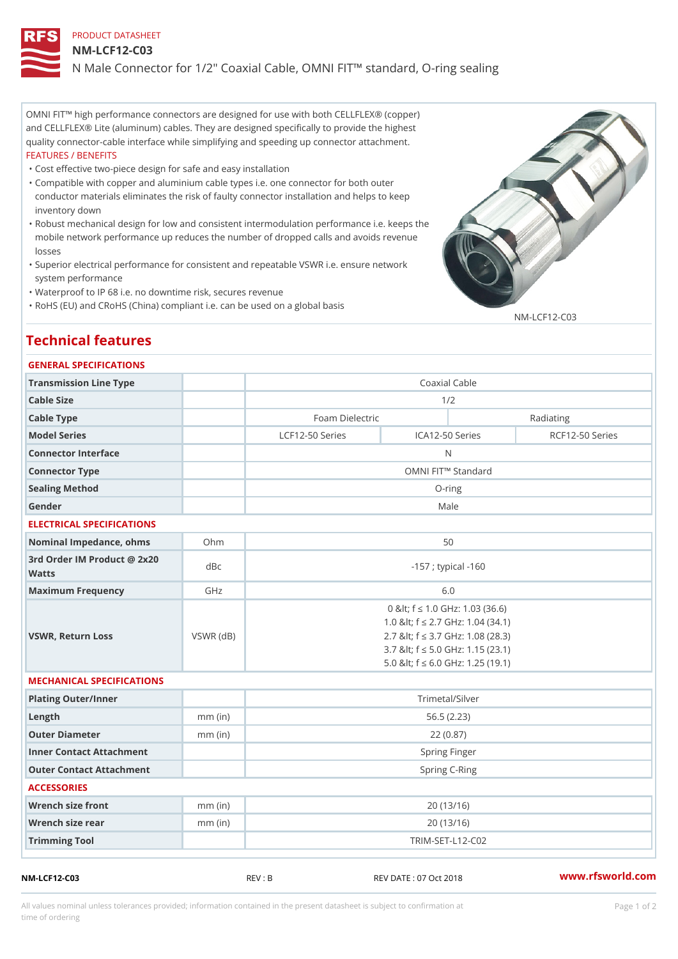## PRODUCT DATASHEET

## NM-LCF12-C03

N Male Connector for 1/2" Coaxial Cable, OMNI FIT!" standard, O-ring s

OMNI FIT!" high performance connectors are designed for use with both CELLFLEX® (copper) and CELLFLEX® Lite (aluminum) cables. They are designed specifically to provide the highest quality connector-cable interface while simplifying and speeding up connector attachment. FEATURES / BENEFITS

"Cost effective two-piece design for safe and easy installation

- Compatible with copper and aluminium cable types i.e. one connector for both outer " conductor materials eliminates the risk of faulty connector installation and helps to keep inventory down
- Robust mechanical design for low and consistent intermodulation performance i.e. keeps the " mobile network performance up reduces the number of dropped calls and avoids revenue losses
- Superior electrical performance for consistent and repeatable VSWR i.e. ensure network " system performance
- "Waterproof to IP 68 i.e. no downtime risk, secures revenue
- "RoHS (EU) and CRoHS (China) compliant i.e. can be used on a global basis

NM-LCF12-C03

# Technical features

### GENERAL SPECIFICATIONS

| Transmission Line Type                   |                          | Coaxial Cable                                                                                                                                                                                 |                              |                 |  |
|------------------------------------------|--------------------------|-----------------------------------------------------------------------------------------------------------------------------------------------------------------------------------------------|------------------------------|-----------------|--|
| Cable Size                               |                          | 1/2                                                                                                                                                                                           |                              |                 |  |
| Cable Type                               |                          |                                                                                                                                                                                               | Foam Dielectric<br>Radiating |                 |  |
| Model Series                             |                          | $LCF12-50$ Series                                                                                                                                                                             | ICA12-50 Series              | RCF12-50 Series |  |
| Connector Interface                      |                          | N                                                                                                                                                                                             |                              |                 |  |
| Connector Type                           |                          | OMNI FIT!" Standard                                                                                                                                                                           |                              |                 |  |
| Sealing Method                           |                          | $O - r i n g$                                                                                                                                                                                 |                              |                 |  |
| Gender                                   |                          | Male                                                                                                                                                                                          |                              |                 |  |
| ELECTRICAL SPECIFICATIONS                |                          |                                                                                                                                                                                               |                              |                 |  |
| Nominal Impedance, ohins Ohm             |                          |                                                                                                                                                                                               | 50                           |                 |  |
| 3rd Order IM Product @ 2x20 dBc<br>Watts |                          | $-157$ ; typical $-160$                                                                                                                                                                       |                              |                 |  |
| Maximum Frequency                        | GHz                      |                                                                                                                                                                                               | 6.0                          |                 |  |
| VSWR, Return Loss                        | $VSWR$ ( $dB$ )          | 0 & It; f "d 1.0 GHz: 1.03 (36.6)<br>1.0 & It; f "d 2.7 GHz: 1.04 (34.1)<br>2.7 & It; f "d 3.7 GHz: 1.08 (28.3)<br>3.7 & It; f "d 5.0 GHz: 1.15 (23.1)<br>5.0 & It; f "d 6.0 GHz: 1.25 (19.1) |                              |                 |  |
| MECHANICAL SPECIFICATIONS                |                          |                                                                                                                                                                                               |                              |                 |  |
| Plating Outer/Inner                      |                          | Trimetal/Silver                                                                                                                                                                               |                              |                 |  |
| $L$ ength                                | $mm$ (in)                | 56.5(2.23)                                                                                                                                                                                    |                              |                 |  |
| Outer Diameter                           | $mm$ (in)                |                                                                                                                                                                                               | 22(0.87)                     |                 |  |
| Inner Contact Attachment                 |                          |                                                                                                                                                                                               | Spring Finger                |                 |  |
|                                          | Outer Contact Attachment |                                                                                                                                                                                               | Spring C-Ring                |                 |  |
| <b>ACCESSORIES</b>                       |                          |                                                                                                                                                                                               |                              |                 |  |
| Wrench size front                        | $mm$ (in)                |                                                                                                                                                                                               | 20(13/16)                    |                 |  |
| Wrench size rear                         | $mm$ (in)                |                                                                                                                                                                                               | 20(13/16)                    |                 |  |
| Trimming Tool                            |                          |                                                                                                                                                                                               | TRIM-SET-L12-C02             |                 |  |

NM-LCF12-C03 REV : B REV DATE : 07 Oct 2018 WWW.rfsworld.com